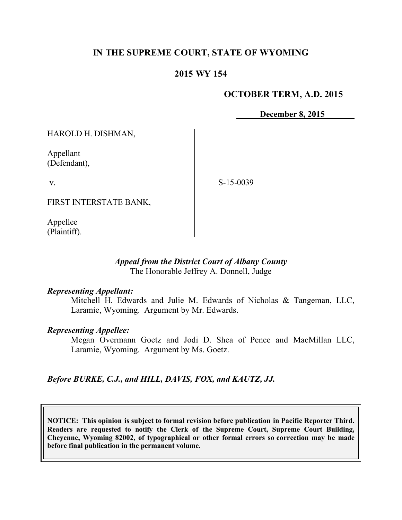## **IN THE SUPREME COURT, STATE OF WYOMING**

## **2015 WY 154**

#### **OCTOBER TERM, A.D. 2015**

**December 8, 2015**

HAROLD H. DISHMAN,

Appellant (Defendant),

v.

S-15-0039

FIRST INTERSTATE BANK,

Appellee (Plaintiff).

#### *Appeal from the District Court of Albany County* The Honorable Jeffrey A. Donnell, Judge

#### *Representing Appellant:*

Mitchell H. Edwards and Julie M. Edwards of Nicholas & Tangeman, LLC, Laramie, Wyoming. Argument by Mr. Edwards.

## *Representing Appellee:*

Megan Overmann Goetz and Jodi D. Shea of Pence and MacMillan LLC, Laramie, Wyoming. Argument by Ms. Goetz.

*Before BURKE, C.J., and HILL, DAVIS, FOX, and KAUTZ, JJ.*

**NOTICE: This opinion is subject to formal revision before publication in Pacific Reporter Third. Readers are requested to notify the Clerk of the Supreme Court, Supreme Court Building, Cheyenne, Wyoming 82002, of typographical or other formal errors so correction may be made before final publication in the permanent volume.**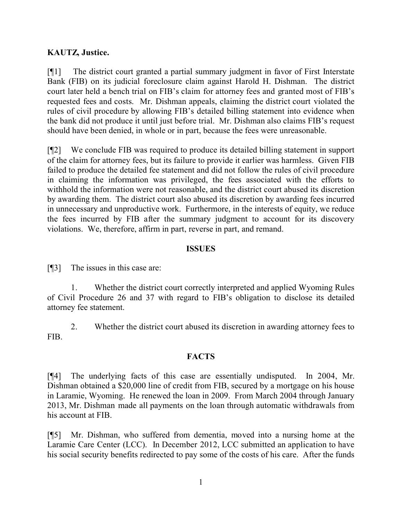## **KAUTZ, Justice.**

[¶1] The district court granted a partial summary judgment in favor of First Interstate Bank (FIB) on its judicial foreclosure claim against Harold H. Dishman. The district court later held a bench trial on FIB's claim for attorney fees and granted most of FIB's requested fees and costs. Mr. Dishman appeals, claiming the district court violated the rules of civil procedure by allowing FIB's detailed billing statement into evidence when the bank did not produce it until just before trial. Mr. Dishman also claims FIB's request should have been denied, in whole or in part, because the fees were unreasonable.

[¶2] We conclude FIB was required to produce its detailed billing statement in support of the claim for attorney fees, but its failure to provide it earlier was harmless. Given FIB failed to produce the detailed fee statement and did not follow the rules of civil procedure in claiming the information was privileged, the fees associated with the efforts to withhold the information were not reasonable, and the district court abused its discretion by awarding them. The district court also abused its discretion by awarding fees incurred in unnecessary and unproductive work. Furthermore, in the interests of equity, we reduce the fees incurred by FIB after the summary judgment to account for its discovery violations. We, therefore, affirm in part, reverse in part, and remand.

### **ISSUES**

[¶3] The issues in this case are:

1. Whether the district court correctly interpreted and applied Wyoming Rules of Civil Procedure 26 and 37 with regard to FIB's obligation to disclose its detailed attorney fee statement.

2. Whether the district court abused its discretion in awarding attorney fees to FIB.

#### **FACTS**

[¶4] The underlying facts of this case are essentially undisputed. In 2004, Mr. Dishman obtained a \$20,000 line of credit from FIB, secured by a mortgage on his house in Laramie, Wyoming. He renewed the loan in 2009. From March 2004 through January 2013, Mr. Dishman made all payments on the loan through automatic withdrawals from his account at FIB.

[¶5] Mr. Dishman, who suffered from dementia, moved into a nursing home at the Laramie Care Center (LCC). In December 2012, LCC submitted an application to have his social security benefits redirected to pay some of the costs of his care. After the funds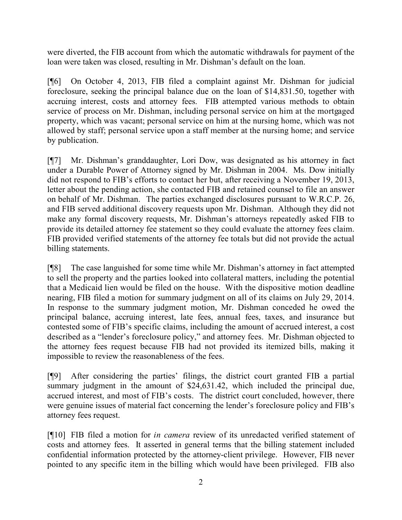were diverted, the FIB account from which the automatic withdrawals for payment of the loan were taken was closed, resulting in Mr. Dishman's default on the loan.

[¶6] On October 4, 2013, FIB filed a complaint against Mr. Dishman for judicial foreclosure, seeking the principal balance due on the loan of \$14,831.50, together with accruing interest, costs and attorney fees. FIB attempted various methods to obtain service of process on Mr. Dishman, including personal service on him at the mortgaged property, which was vacant; personal service on him at the nursing home, which was not allowed by staff; personal service upon a staff member at the nursing home; and service by publication.

[¶7] Mr. Dishman's granddaughter, Lori Dow, was designated as his attorney in fact under a Durable Power of Attorney signed by Mr. Dishman in 2004. Ms. Dow initially did not respond to FIB's efforts to contact her but, after receiving a November 19, 2013, letter about the pending action, she contacted FIB and retained counsel to file an answer on behalf of Mr. Dishman. The parties exchanged disclosures pursuant to W.R.C.P. 26, and FIB served additional discovery requests upon Mr. Dishman. Although they did not make any formal discovery requests, Mr. Dishman's attorneys repeatedly asked FIB to provide its detailed attorney fee statement so they could evaluate the attorney fees claim. FIB provided verified statements of the attorney fee totals but did not provide the actual billing statements.

[¶8] The case languished for some time while Mr. Dishman's attorney in fact attempted to sell the property and the parties looked into collateral matters, including the potential that a Medicaid lien would be filed on the house. With the dispositive motion deadline nearing, FIB filed a motion for summary judgment on all of its claims on July 29, 2014. In response to the summary judgment motion, Mr. Dishman conceded he owed the principal balance, accruing interest, late fees, annual fees, taxes, and insurance but contested some of FIB's specific claims, including the amount of accrued interest, a cost described as a "lender's foreclosure policy," and attorney fees. Mr. Dishman objected to the attorney fees request because FIB had not provided its itemized bills, making it impossible to review the reasonableness of the fees.

[¶9] After considering the parties' filings, the district court granted FIB a partial summary judgment in the amount of \$24,631.42, which included the principal due, accrued interest, and most of FIB's costs. The district court concluded, however, there were genuine issues of material fact concerning the lender's foreclosure policy and FIB's attorney fees request.

[¶10] FIB filed a motion for *in camera* review of its unredacted verified statement of costs and attorney fees. It asserted in general terms that the billing statement included confidential information protected by the attorney-client privilege. However, FIB never pointed to any specific item in the billing which would have been privileged. FIB also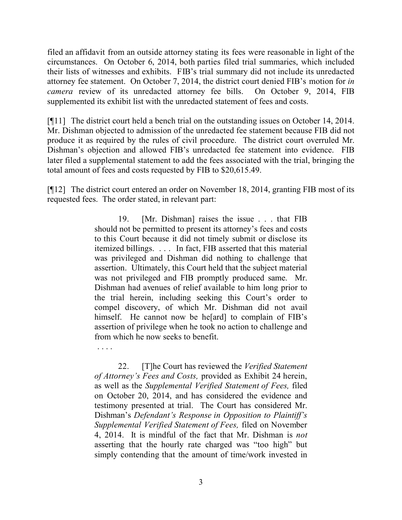filed an affidavit from an outside attorney stating its fees were reasonable in light of the circumstances. On October 6, 2014, both parties filed trial summaries, which included their lists of witnesses and exhibits. FIB's trial summary did not include its unredacted attorney fee statement. On October 7, 2014, the district court denied FIB's motion for *in camera* review of its unredacted attorney fee bills. On October 9, 2014, FIB supplemented its exhibit list with the unredacted statement of fees and costs.

[¶11] The district court held a bench trial on the outstanding issues on October 14, 2014. Mr. Dishman objected to admission of the unredacted fee statement because FIB did not produce it as required by the rules of civil procedure. The district court overruled Mr. Dishman's objection and allowed FIB's unredacted fee statement into evidence. FIB later filed a supplemental statement to add the fees associated with the trial, bringing the total amount of fees and costs requested by FIB to \$20,615.49.

[¶12] The district court entered an order on November 18, 2014, granting FIB most of its requested fees. The order stated, in relevant part:

> 19. [Mr. Dishman] raises the issue . . . that FIB should not be permitted to present its attorney's fees and costs to this Court because it did not timely submit or disclose its itemized billings. . . . In fact, FIB asserted that this material was privileged and Dishman did nothing to challenge that assertion. Ultimately, this Court held that the subject material was not privileged and FIB promptly produced same. Mr. Dishman had avenues of relief available to him long prior to the trial herein, including seeking this Court's order to compel discovery, of which Mr. Dishman did not avail himself. He cannot now be heard to complain of FIB's assertion of privilege when he took no action to challenge and from which he now seeks to benefit.

. . . .

22. [T]he Court has reviewed the *Verified Statement of Attorney's Fees and Costs,* provided as Exhibit 24 herein, as well as the *Supplemental Verified Statement of Fees,* filed on October 20, 2014, and has considered the evidence and testimony presented at trial. The Court has considered Mr. Dishman's *Defendant's Response in Opposition to Plaintiff's Supplemental Verified Statement of Fees,* filed on November 4, 2014. It is mindful of the fact that Mr. Dishman is *not* asserting that the hourly rate charged was "too high" but simply contending that the amount of time/work invested in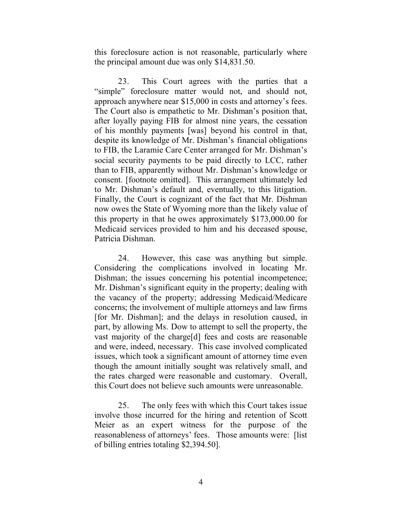this foreclosure action is not reasonable, particularly where the principal amount due was only \$14,831.50.

23. This Court agrees with the parties that a "simple" foreclosure matter would not, and should not, approach anywhere near \$15,000 in costs and attorney's fees. The Court also is empathetic to Mr. Dishman's position that, after loyally paying FIB for almost nine years, the cessation of his monthly payments [was] beyond his control in that, despite its knowledge of Mr. Dishman's financial obligations to FIB, the Laramie Care Center arranged for Mr. Dishman's social security payments to be paid directly to LCC, rather than to FIB, apparently without Mr. Dishman's knowledge or consent. [footnote omitted]. This arrangement ultimately led to Mr. Dishman's default and, eventually, to this litigation. Finally, the Court is cognizant of the fact that Mr. Dishman now owes the State of Wyoming more than the likely value of this property in that he owes approximately \$173,000.00 for Medicaid services provided to him and his deceased spouse, Patricia Dishman.

24. However, this case was anything but simple. Considering the complications involved in locating Mr. Dishman; the issues concerning his potential incompetence; Mr. Dishman's significant equity in the property; dealing with the vacancy of the property; addressing Medicaid/Medicare concerns; the involvement of multiple attorneys and law firms [for Mr. Dishman]; and the delays in resolution caused, in part, by allowing Ms. Dow to attempt to sell the property, the vast majority of the charge[d] fees and costs are reasonable and were, indeed, necessary. This case involved complicated issues, which took a significant amount of attorney time even though the amount initially sought was relatively small, and the rates charged were reasonable and customary. Overall, this Court does not believe such amounts were unreasonable.

25. The only fees with which this Court takes issue involve those incurred for the hiring and retention of Scott Meier as an expert witness for the purpose of the reasonableness of attorneys' fees. Those amounts were: [list of billing entries totaling \$2,394.50].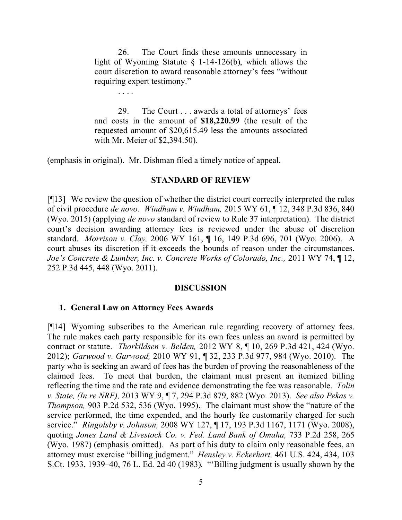26. The Court finds these amounts unnecessary in light of Wyoming Statute § 1-14-126(b), which allows the court discretion to award reasonable attorney's fees "without requiring expert testimony."

29. The Court . . . awards a total of attorneys' fees and costs in the amount of **\$18,220.99** (the result of the requested amount of \$20,615.49 less the amounts associated with Mr. Meier of \$2,394.50).

(emphasis in original). Mr. Dishman filed a timely notice of appeal.

#### **STANDARD OF REVIEW**

[¶13] We review the question of whether the district court correctly interpreted the rules of civil procedure *de novo*. *Windham v. Windham,* 2015 WY 61, ¶ 12, 348 P.3d 836, 840 (Wyo. 2015) (applying *de novo* standard of review to Rule 37 interpretation). The district court's decision awarding attorney fees is reviewed under the abuse of discretion standard. *Morrison v. Clay,* 2006 WY 161, ¶ 16, 149 P.3d 696, 701 (Wyo. 2006). A court abuses its discretion if it exceeds the bounds of reason under the circumstances. *Joe's Concrete & Lumber, Inc. v. Concrete Works of Colorado, Inc., 2011 WY 74,* 12, 252 P.3d 445, 448 (Wyo. 2011).

#### **DISCUSSION**

#### **1. General Law on Attorney Fees Awards**

[¶14] Wyoming subscribes to the American rule regarding recovery of attorney fees. The rule makes each party responsible for its own fees unless an award is permitted by contract or statute. *Thorkildsen v. Belden,* 2012 WY 8, ¶ 10, 269 P.3d 421, 424 (Wyo. 2012); *Garwood v. Garwood,* 2010 WY 91, ¶ 32, 233 P.3d 977, 984 (Wyo. 2010). The party who is seeking an award of fees has the burden of proving the reasonableness of the claimed fees. To meet that burden, the claimant must present an itemized billing reflecting the time and the rate and evidence demonstrating the fee was reasonable. *Tolin v. State, (In re NRF),* 2013 WY 9, ¶ 7, 294 P.3d 879, 882 (Wyo. 2013). *See also Pekas v. Thompson,* 903 P.2d 532, 536 (Wyo. 1995). The claimant must show the "nature of the service performed, the time expended, and the hourly fee customarily charged for such service." *Ringolsby v. Johnson,* 2008 WY 127, ¶ 17, 193 P.3d 1167, 1171 (Wyo. 2008), quoting *Jones Land & Livestock Co. v. Fed. Land Bank of Omaha,* 733 P.2d 258, 265 (Wyo. 1987) (emphasis omitted). As part of his duty to claim only reasonable fees, an attorney must exercise "billing judgment." *Hensley v. Eckerhart,* 461 U.S. 424, 434, 103 S.Ct. 1933, 1939–40, 76 L. Ed. 2d 40 (1983). "'Billing judgment is usually shown by the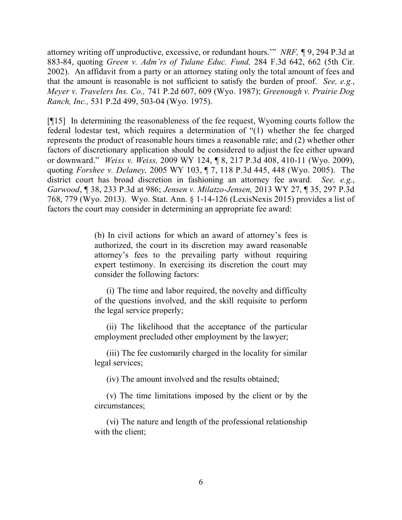attorney writing off unproductive, excessive, or redundant hours.'" *NRF, ¶* 9, 294 P.3d at 883-84, quoting *Green v. Adm'rs of Tulane Educ. Fund,* 284 F.3d 642, 662 (5th Cir. 2002). An affidavit from a party or an attorney stating only the total amount of fees and that the amount is reasonable is not sufficient to satisfy the burden of proof. *See, e.g.*, *Meyer v. Travelers Ins. Co.,* 741 P.2d 607, 609 (Wyo. 1987); *Greenough v. Prairie Dog Ranch, Inc.,* 531 P.2d 499, 503-04 (Wyo. 1975).

[¶15] In determining the reasonableness of the fee request, Wyoming courts follow the federal lodestar test, which requires a determination of "(1) whether the fee charged represents the product of reasonable hours times a reasonable rate; and (2) whether other factors of discretionary application should be considered to adjust the fee either upward or downward." *Weiss v. Weiss,* 2009 WY 124, ¶ 8, 217 P.3d 408, 410-11 (Wyo. 2009), quoting *Forshee v. Delaney,* 2005 WY 103, ¶ 7, 118 P.3d 445, 448 (Wyo. 2005). The district court has broad discretion in fashioning an attorney fee award. *See, e.g.*, *Garwood*, ¶ 38, 233 P.3d at 986; *Jensen v. Milatzo-Jensen,* 2013 WY 27, ¶ 35, 297 P.3d 768, 779 (Wyo. 2013). Wyo. Stat. Ann. § 1-14-126 (LexisNexis 2015) provides a list of factors the court may consider in determining an appropriate fee award:

> (b) In civil actions for which an award of attorney's fees is authorized, the court in its discretion may award reasonable attorney's fees to the prevailing party without requiring expert testimony. In exercising its discretion the court may consider the following factors:

> (i) The time and labor required, the novelty and difficulty of the questions involved, and the skill requisite to perform the legal service properly;

> (ii) The likelihood that the acceptance of the particular employment precluded other employment by the lawyer;

> (iii) The fee customarily charged in the locality for similar legal services;

(iv) The amount involved and the results obtained;

(v) The time limitations imposed by the client or by the circumstances;

(vi) The nature and length of the professional relationship with the client;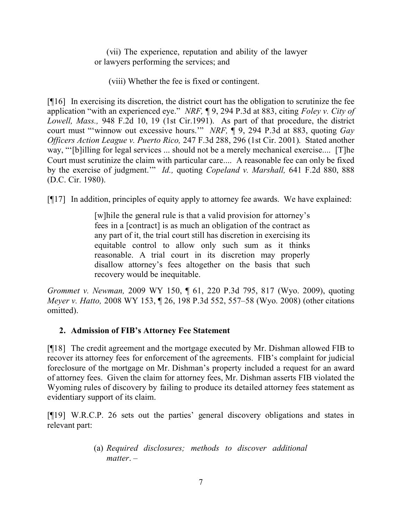(vii) The experience, reputation and ability of the lawyer or lawyers performing the services; and

(viii) Whether the fee is fixed or contingent.

[¶16] In exercising its discretion, the district court has the obligation to scrutinize the fee application "with an experienced eye." *NRF,* ¶ 9, 294 P.3d at 883, citing *Foley v. City of Lowell, Mass.,* 948 F.2d 10, 19 (1st Cir.1991). As part of that procedure, the district court must "'winnow out excessive hours.'" *NRF,* ¶ 9, 294 P.3d at 883, quoting *Gay Officers Action League v. Puerto Rico,* 247 F.3d 288, 296 (1st Cir. 2001). Stated another way, "'[b]illing for legal services ... should not be a merely mechanical exercise.... [T]he Court must scrutinize the claim with particular care.... A reasonable fee can only be fixed by the exercise of judgment.'" *Id.,* quoting *Copeland v. Marshall,* 641 F.2d 880, 888 (D.C. Cir. 1980).

[¶17] In addition, principles of equity apply to attorney fee awards. We have explained:

[w]hile the general rule is that a valid provision for attorney's fees in a [contract] is as much an obligation of the contract as any part of it, the trial court still has discretion in exercising its equitable control to allow only such sum as it thinks reasonable. A trial court in its discretion may properly disallow attorney's fees altogether on the basis that such recovery would be inequitable.

*Grommet v. Newman,* 2009 WY 150, ¶ 61, 220 P.3d 795, 817 (Wyo. 2009), quoting *Meyer v. Hatto,* 2008 WY 153, ¶ 26, 198 P.3d 552, 557–58 (Wyo. 2008) (other citations omitted).

# **2. Admission of FIB's Attorney Fee Statement**

[¶18] The credit agreement and the mortgage executed by Mr. Dishman allowed FIB to recover its attorney fees for enforcement of the agreements. FIB's complaint for judicial foreclosure of the mortgage on Mr. Dishman's property included a request for an award of attorney fees. Given the claim for attorney fees, Mr. Dishman asserts FIB violated the Wyoming rules of discovery by failing to produce its detailed attorney fees statement as evidentiary support of its claim.

[¶19] W.R.C.P. 26 sets out the parties' general discovery obligations and states in relevant part:

> (a) *Required disclosures; methods to discover additional matter*. –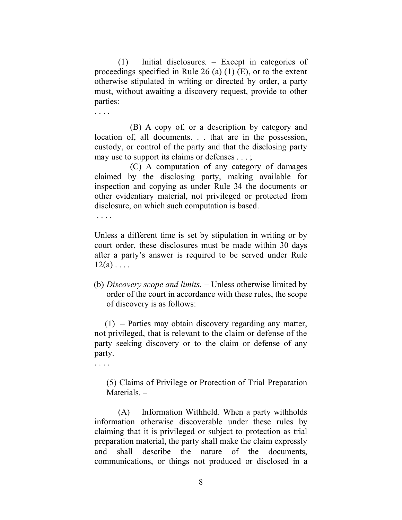(1) Initial disclosures*.* – Except in categories of proceedings specified in Rule 26 (a)  $(1)$  (E), or to the extent otherwise stipulated in writing or directed by order, a party must, without awaiting a discovery request, provide to other parties:

. . . .

(B) A copy of, or a description by category and location of, all documents. . . that are in the possession, custody, or control of the party and that the disclosing party may use to support its claims or defenses . . . ;

(C) A computation of any category of damages claimed by the disclosing party, making available for inspection and copying as under Rule 34 the documents or other evidentiary material, not privileged or protected from disclosure, on which such computation is based.

. . . .

Unless a different time is set by stipulation in writing or by court order, these disclosures must be made within 30 days after a party's answer is required to be served under Rule  $12(a)$ ...

(b) *Discovery scope and limits.* – Unless otherwise limited by order of the court in accordance with these rules, the scope of discovery is as follows:

(1) – Parties may obtain discovery regarding any matter, not privileged, that is relevant to the claim or defense of the party seeking discovery or to the claim or defense of any party.

. . . .

(5) Claims of Privilege or Protection of Trial Preparation Materials. –

(A) Information Withheld. When a party withholds information otherwise discoverable under these rules by claiming that it is privileged or subject to protection as trial preparation material, the party shall make the claim expressly and shall describe the nature of the documents, communications, or things not produced or disclosed in a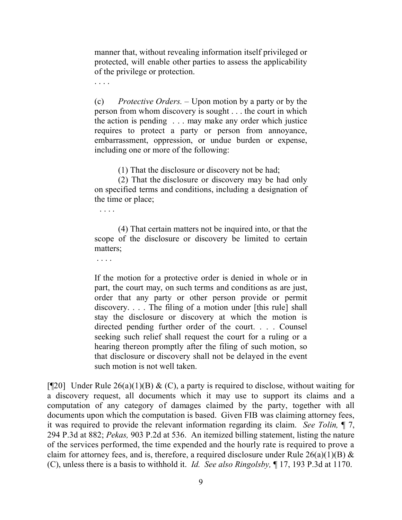manner that, without revealing information itself privileged or protected, will enable other parties to assess the applicability of the privilege or protection.

(c) *Protective Orders.* – Upon motion by a party or by the person from whom discovery is sought . . . the court in which the action is pending . . . may make any order which justice requires to protect a party or person from annoyance, embarrassment, oppression, or undue burden or expense, including one or more of the following:

(1) That the disclosure or discovery not be had;

(2) That the disclosure or discovery may be had only on specified terms and conditions, including a designation of the time or place;

. . . .

. . . .

(4) That certain matters not be inquired into, or that the scope of the disclosure or discovery be limited to certain matters;

. . . .

If the motion for a protective order is denied in whole or in part, the court may, on such terms and conditions as are just, order that any party or other person provide or permit discovery. . . . The filing of a motion under [this rule] shall stay the disclosure or discovery at which the motion is directed pending further order of the court. . . . Counsel seeking such relief shall request the court for a ruling or a hearing thereon promptly after the filing of such motion, so that disclosure or discovery shall not be delayed in the event such motion is not well taken.

[ $[$ [20] Under Rule 26(a)(1)(B) & (C), a party is required to disclose, without waiting for a discovery request, all documents which it may use to support its claims and a computation of any category of damages claimed by the party, together with all documents upon which the computation is based. Given FIB was claiming attorney fees, it was required to provide the relevant information regarding its claim. *See Tolin,* ¶ 7, 294 P.3d at 882; *Pekas,* 903 P.2d at 536. An itemized billing statement, listing the nature of the services performed, the time expended and the hourly rate is required to prove a claim for attorney fees, and is, therefore, a required disclosure under Rule  $26(a)(1)(B)$  & (C), unless there is a basis to withhold it. *Id. See also Ringolsby,* ¶ 17, 193 P.3d at 1170.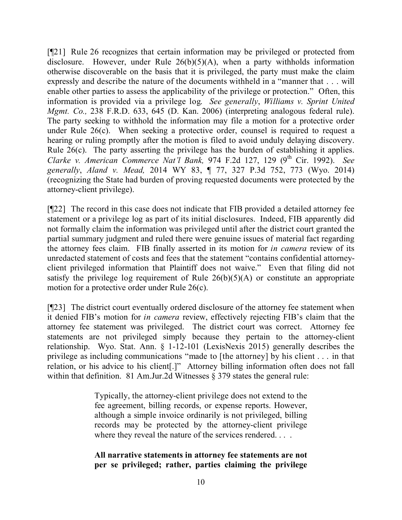[¶21] Rule 26 recognizes that certain information may be privileged or protected from disclosure. However, under Rule 26(b)(5)(A), when a party withholds information otherwise discoverable on the basis that it is privileged, the party must make the claim expressly and describe the nature of the documents withheld in a "manner that . . . will enable other parties to assess the applicability of the privilege or protection." Often, this information is provided via a privilege log. *See generally*, *Williams v. Sprint United Mgmt. Co.,* 238 F.R.D. 633, 645 (D. Kan. 2006) (interpreting analogous federal rule). The party seeking to withhold the information may file a motion for a protective order under Rule 26(c). When seeking a protective order, counsel is required to request a hearing or ruling promptly after the motion is filed to avoid unduly delaying discovery. Rule 26(c). The party asserting the privilege has the burden of establishing it applies. *Clarke v. American Commerce Nat'l Bank,* 974 F.2d 127, 129 (9<sup>th</sup> Cir. 1992). *See generally*, *Aland v. Mead,* 2014 WY 83, ¶ 77, 327 P.3d 752, 773 (Wyo. 2014) (recognizing the State had burden of proving requested documents were protected by the attorney-client privilege).

[¶22] The record in this case does not indicate that FIB provided a detailed attorney fee statement or a privilege log as part of its initial disclosures. Indeed, FIB apparently did not formally claim the information was privileged until after the district court granted the partial summary judgment and ruled there were genuine issues of material fact regarding the attorney fees claim. FIB finally asserted in its motion for *in camera* review of its unredacted statement of costs and fees that the statement "contains confidential attorneyclient privileged information that Plaintiff does not waive." Even that filing did not satisfy the privilege log requirement of Rule  $26(b)(5)(A)$  or constitute an appropriate motion for a protective order under Rule 26(c).

[¶23] The district court eventually ordered disclosure of the attorney fee statement when it denied FIB's motion for *in camera* review, effectively rejecting FIB's claim that the attorney fee statement was privileged. The district court was correct. Attorney fee statements are not privileged simply because they pertain to the attorney-client relationship. Wyo. Stat. Ann. § 1-12-101 (LexisNexis 2015) generally describes the privilege as including communications "made to [the attorney] by his client . . . in that relation, or his advice to his client[.]" Attorney billing information often does not fall within that definition. 81 Am.Jur.2d Witnesses  $\S$  379 states the general rule:

> Typically, the attorney-client privilege does not extend to the fee agreement, billing records, or expense reports. However, although a simple invoice ordinarily is not privileged, billing records may be protected by the attorney-client privilege where they reveal the nature of the services rendered. . . .

### **All narrative statements in attorney fee statements are not per se privileged; rather, parties claiming the privilege**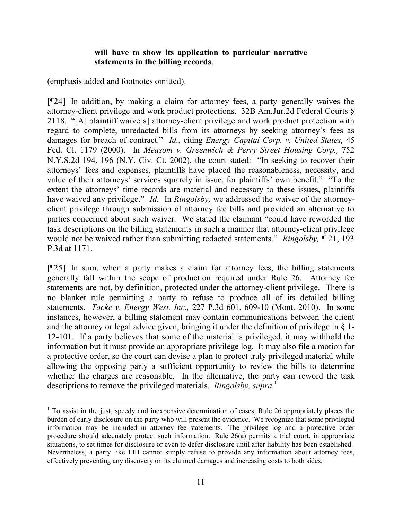#### **will have to show its application to particular narrative statements in the billing records**.

(emphasis added and footnotes omitted).

 $\overline{a}$ 

[¶24] In addition, by making a claim for attorney fees, a party generally waives the attorney-client privilege and work product protections. 32B Am.Jur.2d Federal Courts § 2118. "[A] plaintiff waive[s] attorney-client privilege and work product protection with regard to complete, unredacted bills from its attorneys by seeking attorney's fees as damages for breach of contract." *Id.,* citing *Energy Capital Corp. v. United States,* 45 Fed. Cl. 1179 (2000). In *Measom v. Greenwich & Perry Street Housing Corp.,* 752 N.Y.S.2d 194, 196 (N.Y. Civ. Ct. 2002), the court stated: "In seeking to recover their attorneys' fees and expenses, plaintiffs have placed the reasonableness, necessity, and value of their attorneys' services squarely in issue, for plaintiffs' own benefit." "To the extent the attorneys' time records are material and necessary to these issues, plaintiffs have waived any privilege." *Id.* In *Ringolsby,* we addressed the waiver of the attorneyclient privilege through submission of attorney fee bills and provided an alternative to parties concerned about such waiver. We stated the claimant "could have reworded the task descriptions on the billing statements in such a manner that attorney-client privilege would not be waived rather than submitting redacted statements." *Ringolsby,* ¶ 21, 193 P.3d at 1171.

[¶25] In sum, when a party makes a claim for attorney fees, the billing statements generally fall within the scope of production required under Rule 26. Attorney fee statements are not, by definition, protected under the attorney-client privilege. There is no blanket rule permitting a party to refuse to produce all of its detailed billing statements. *Tacke v. Energy West, Inc.,* 227 P.3d 601, 609-10 (Mont. 2010). In some instances, however, a billing statement may contain communications between the client and the attorney or legal advice given, bringing it under the definition of privilege in § 1- 12-101. If a party believes that some of the material is privileged, it may withhold the information but it must provide an appropriate privilege log. It may also file a motion for a protective order, so the court can devise a plan to protect truly privileged material while allowing the opposing party a sufficient opportunity to review the bills to determine whether the charges are reasonable. In the alternative, the party can reword the task descriptions to remove the privileged materials. *Ringolsby, supra.*<sup>1</sup>

<sup>&</sup>lt;sup>1</sup> To assist in the just, speedy and inexpensive determination of cases, Rule 26 appropriately places the burden of early disclosure on the party who will present the evidence. We recognize that some privileged information may be included in attorney fee statements. The privilege log and a protective order procedure should adequately protect such information. Rule 26(a) permits a trial court, in appropriate situations, to set times for disclosure or even to defer disclosure until after liability has been established. Nevertheless, a party like FIB cannot simply refuse to provide any information about attorney fees, effectively preventing any discovery on its claimed damages and increasing costs to both sides.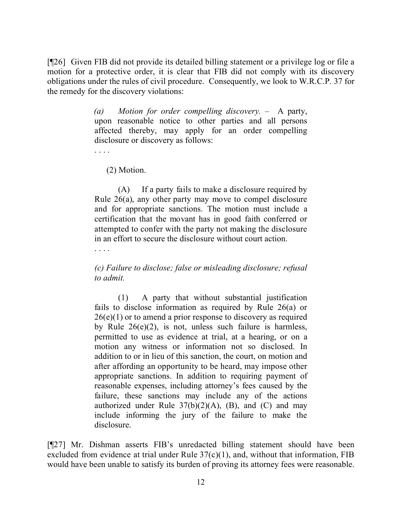[¶26] Given FIB did not provide its detailed billing statement or a privilege log or file a motion for a protective order, it is clear that FIB did not comply with its discovery obligations under the rules of civil procedure. Consequently, we look to W.R.C.P. 37 for the remedy for the discovery violations:

> *(a) Motion for order compelling discovery.* – A party, upon reasonable notice to other parties and all persons affected thereby, may apply for an order compelling disclosure or discovery as follows:

(2) Motion.

(A) If a party fails to make a disclosure required by Rule 26(a), any other party may move to compel disclosure and for appropriate sanctions. The motion must include a certification that the movant has in good faith conferred or attempted to confer with the party not making the disclosure in an effort to secure the disclosure without court action.

. . . .

*(c) Failure to disclose; false or misleading disclosure; refusal to admit.*

(1) A party that without substantial justification fails to disclose information as required by Rule 26(a) or  $26(e)(1)$  or to amend a prior response to discovery as required by Rule 26(e)(2), is not, unless such failure is harmless, permitted to use as evidence at trial, at a hearing, or on a motion any witness or information not so disclosed. In addition to or in lieu of this sanction, the court, on motion and after affording an opportunity to be heard, may impose other appropriate sanctions. In addition to requiring payment of reasonable expenses, including attorney's fees caused by the failure, these sanctions may include any of the actions authorized under Rule  $37(b)(2)(A)$ , (B), and (C) and may include informing the jury of the failure to make the disclosure.

[¶27] Mr. Dishman asserts FIB's unredacted billing statement should have been excluded from evidence at trial under Rule  $37(c)(1)$ , and, without that information, FIB would have been unable to satisfy its burden of proving its attorney fees were reasonable.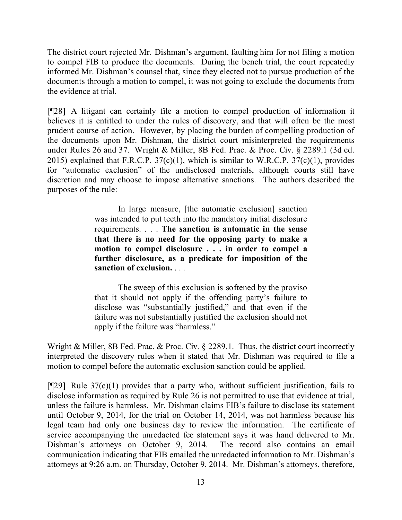The district court rejected Mr. Dishman's argument, faulting him for not filing a motion to compel FIB to produce the documents. During the bench trial, the court repeatedly informed Mr. Dishman's counsel that, since they elected not to pursue production of the documents through a motion to compel, it was not going to exclude the documents from the evidence at trial.

[¶28] A litigant can certainly file a motion to compel production of information it believes it is entitled to under the rules of discovery, and that will often be the most prudent course of action. However, by placing the burden of compelling production of the documents upon Mr. Dishman, the district court misinterpreted the requirements under Rules 26 and 37. Wright & Miller, 8B Fed. Prac. & Proc. Civ. § 2289.1 (3d ed. 2015) explained that F.R.C.P.  $37(c)(1)$ , which is similar to W.R.C.P.  $37(c)(1)$ , provides for "automatic exclusion" of the undisclosed materials, although courts still have discretion and may choose to impose alternative sanctions. The authors described the purposes of the rule:

> In large measure, [the automatic exclusion] sanction was intended to put teeth into the mandatory initial disclosure requirements. . . . **The sanction is automatic in the sense that there is no need for the opposing party to make a motion to compel disclosure . . . in order to compel a further disclosure, as a predicate for imposition of the sanction of exclusion.** . . .

> The sweep of this exclusion is softened by the proviso that it should not apply if the offending party's failure to disclose was "substantially justified," and that even if the failure was not substantially justified the exclusion should not apply if the failure was "harmless."

Wright & Miller, 8B Fed. Prac. & Proc. Civ. § 2289.1. Thus, the district court incorrectly interpreted the discovery rules when it stated that Mr. Dishman was required to file a motion to compel before the automatic exclusion sanction could be applied.

[ $[$ [29] Rule 37(c)(1) provides that a party who, without sufficient justification, fails to disclose information as required by Rule 26 is not permitted to use that evidence at trial, unless the failure is harmless. Mr. Dishman claims FIB's failure to disclose its statement until October 9, 2014, for the trial on October 14, 2014, was not harmless because his legal team had only one business day to review the information. The certificate of service accompanying the unredacted fee statement says it was hand delivered to Mr. Dishman's attorneys on October 9, 2014. The record also contains an email communication indicating that FIB emailed the unredacted information to Mr. Dishman's attorneys at 9:26 a.m. on Thursday, October 9, 2014. Mr. Dishman's attorneys, therefore,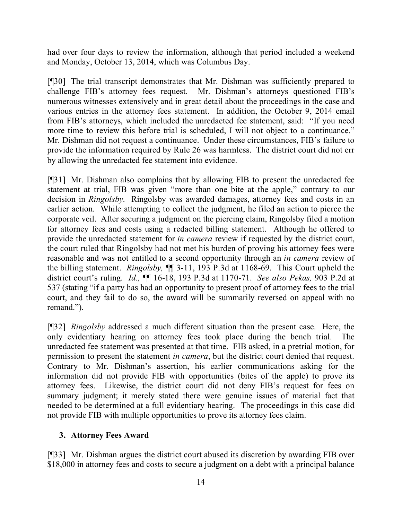had over four days to review the information, although that period included a weekend and Monday, October 13, 2014, which was Columbus Day.

[¶30] The trial transcript demonstrates that Mr. Dishman was sufficiently prepared to challenge FIB's attorney fees request. Mr. Dishman's attorneys questioned FIB's numerous witnesses extensively and in great detail about the proceedings in the case and various entries in the attorney fees statement. In addition, the October 9, 2014 email from FIB's attorneys, which included the unredacted fee statement, said: "If you need more time to review this before trial is scheduled, I will not object to a continuance." Mr. Dishman did not request a continuance. Under these circumstances, FIB's failure to provide the information required by Rule 26 was harmless. The district court did not err by allowing the unredacted fee statement into evidence.

[¶31] Mr. Dishman also complains that by allowing FIB to present the unredacted fee statement at trial, FIB was given "more than one bite at the apple," contrary to our decision in *Ringolsby*. Ringolsby was awarded damages, attorney fees and costs in an earlier action. While attempting to collect the judgment, he filed an action to pierce the corporate veil. After securing a judgment on the piercing claim, Ringolsby filed a motion for attorney fees and costs using a redacted billing statement. Although he offered to provide the unredacted statement for *in camera* review if requested by the district court, the court ruled that Ringolsby had not met his burden of proving his attorney fees were reasonable and was not entitled to a second opportunity through an *in camera* review of the billing statement. *Ringolsby,* ¶¶ 3-11, 193 P.3d at 1168-69. This Court upheld the district court's ruling. *Id.,* ¶¶ 16-18, 193 P.3d at 1170-71. *See also Pekas,* 903 P.2d at 537 (stating "if a party has had an opportunity to present proof of attorney fees to the trial court, and they fail to do so, the award will be summarily reversed on appeal with no remand.").

[¶32] *Ringolsby* addressed a much different situation than the present case. Here, the only evidentiary hearing on attorney fees took place during the bench trial. The unredacted fee statement was presented at that time. FIB asked, in a pretrial motion, for permission to present the statement *in camera*, but the district court denied that request. Contrary to Mr. Dishman's assertion, his earlier communications asking for the information did not provide FIB with opportunities (bites of the apple) to prove its attorney fees. Likewise, the district court did not deny FIB's request for fees on summary judgment; it merely stated there were genuine issues of material fact that needed to be determined at a full evidentiary hearing. The proceedings in this case did not provide FIB with multiple opportunities to prove its attorney fees claim.

# **3. Attorney Fees Award**

[¶33] Mr. Dishman argues the district court abused its discretion by awarding FIB over \$18,000 in attorney fees and costs to secure a judgment on a debt with a principal balance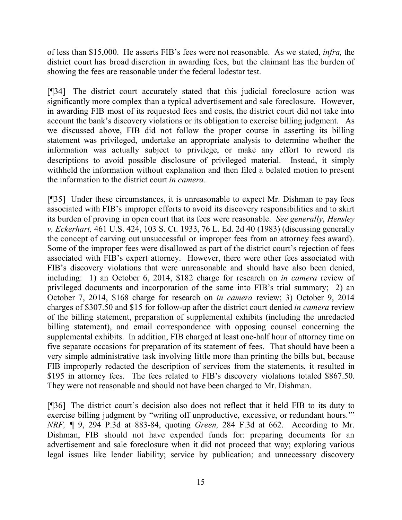of less than \$15,000. He asserts FIB's fees were not reasonable. As we stated, *infra,* the district court has broad discretion in awarding fees, but the claimant has the burden of showing the fees are reasonable under the federal lodestar test.

[¶34] The district court accurately stated that this judicial foreclosure action was significantly more complex than a typical advertisement and sale foreclosure. However, in awarding FIB most of its requested fees and costs, the district court did not take into account the bank's discovery violations or its obligation to exercise billing judgment. As we discussed above, FIB did not follow the proper course in asserting its billing statement was privileged, undertake an appropriate analysis to determine whether the information was actually subject to privilege, or make any effort to reword its descriptions to avoid possible disclosure of privileged material. Instead, it simply withheld the information without explanation and then filed a belated motion to present the information to the district court *in camera*.

[¶35] Under these circumstances, it is unreasonable to expect Mr. Dishman to pay fees associated with FIB's improper efforts to avoid its discovery responsibilities and to skirt its burden of proving in open court that its fees were reasonable. *See generally*, *Hensley v. Eckerhart,* 461 U.S. 424, 103 S. Ct. 1933, 76 L. Ed. 2d 40 (1983) (discussing generally the concept of carving out unsuccessful or improper fees from an attorney fees award). Some of the improper fees were disallowed as part of the district court's rejection of fees associated with FIB's expert attorney. However, there were other fees associated with FIB's discovery violations that were unreasonable and should have also been denied, including: 1) an October 6, 2014, \$182 charge for research on *in camera* review of privileged documents and incorporation of the same into FIB's trial summary; 2) an October 7, 2014, \$168 charge for research on *in camera* review; 3) October 9, 2014 charges of \$307.50 and \$15 for follow-up after the district court denied *in camera* review of the billing statement, preparation of supplemental exhibits (including the unredacted billing statement), and email correspondence with opposing counsel concerning the supplemental exhibits. In addition, FIB charged at least one-half hour of attorney time on five separate occasions for preparation of its statement of fees. That should have been a very simple administrative task involving little more than printing the bills but, because FIB improperly redacted the description of services from the statements, it resulted in \$195 in attorney fees. The fees related to FIB's discovery violations totaled \$867.50. They were not reasonable and should not have been charged to Mr. Dishman.

[¶36] The district court's decision also does not reflect that it held FIB to its duty to exercise billing judgment by "writing off unproductive, excessive, or redundant hours.'" *NRF, ¶* 9, 294 P.3d at 883-84, quoting *Green,* 284 F.3d at 662. According to Mr. Dishman, FIB should not have expended funds for: preparing documents for an advertisement and sale foreclosure when it did not proceed that way; exploring various legal issues like lender liability; service by publication; and unnecessary discovery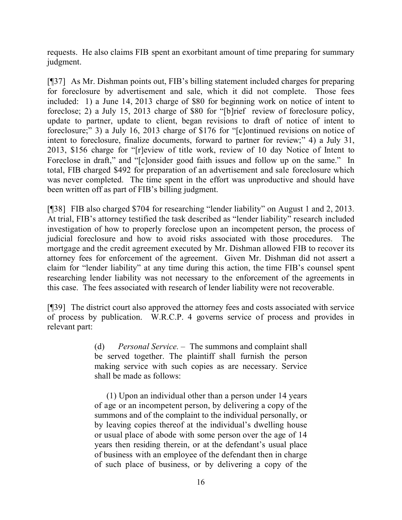requests. He also claims FIB spent an exorbitant amount of time preparing for summary judgment.

[¶37] As Mr. Dishman points out, FIB's billing statement included charges for preparing for foreclosure by advertisement and sale, which it did not complete. Those fees included: 1) a June 14, 2013 charge of \$80 for beginning work on notice of intent to foreclose; 2) a July 15, 2013 charge of \$80 for "[b]rief review of foreclosure policy, update to partner, update to client, began revisions to draft of notice of intent to foreclosure;" 3) a July 16, 2013 charge of \$176 for "[c]ontinued revisions on notice of intent to foreclosure, finalize documents, forward to partner for review;" 4) a July 31, 2013, \$156 charge for "[r]eview of title work, review of 10 day Notice of Intent to Foreclose in draft," and "[c]onsider good faith issues and follow up on the same." In total, FIB charged \$492 for preparation of an advertisement and sale foreclosure which was never completed. The time spent in the effort was unproductive and should have been written off as part of FIB's billing judgment.

[¶38] FIB also charged \$704 for researching "lender liability" on August 1 and 2, 2013. At trial, FIB's attorney testified the task described as "lender liability" research included investigation of how to properly foreclose upon an incompetent person, the process of judicial foreclosure and how to avoid risks associated with those procedures. The mortgage and the credit agreement executed by Mr. Dishman allowed FIB to recover its attorney fees for enforcement of the agreement. Given Mr. Dishman did not assert a claim for "lender liability" at any time during this action, the time FIB's counsel spent researching lender liability was not necessary to the enforcement of the agreements in this case. The fees associated with research of lender liability were not recoverable.

[¶39] The district court also approved the attorney fees and costs associated with service of process by publication. W.R.C.P. 4 governs service of process and provides in relevant part:

> (d) *Personal Service.* – The summons and complaint shall be served together. The plaintiff shall furnish the person making service with such copies as are necessary. Service shall be made as follows:

> (1) Upon an individual other than a person under 14 years of age or an incompetent person, by delivering a copy of the summons and of the complaint to the individual personally, or by leaving copies thereof at the individual's dwelling house or usual place of abode with some person over the age of 14 years then residing therein, or at the defendant's usual place of business with an employee of the defendant then in charge of such place of business, or by delivering a copy of the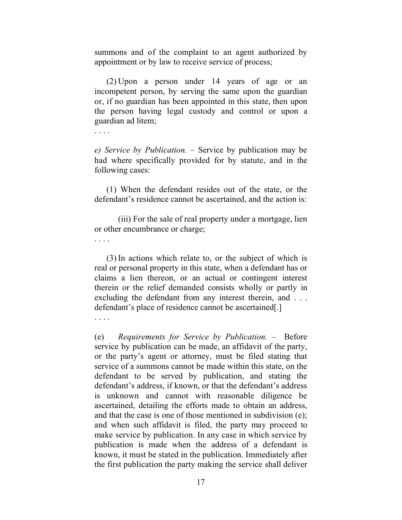summons and of the complaint to an agent authorized by appointment or by law to receive service of process;

(2) Upon a person under 14 years of age or an incompetent person, by serving the same upon the guardian or, if no guardian has been appointed in this state, then upon the person having legal custody and control or upon a guardian ad litem;

. . . .

*e) Service by Publication.* – Service by publication may be had where specifically provided for by statute, and in the following cases:

(1) When the defendant resides out of the state, or the defendant's residence cannot be ascertained, and the action is:

(iii) For the sale of real property under a mortgage, lien or other encumbrance or charge;

. . . .

(3) In actions which relate to, or the subject of which is real or personal property in this state, when a defendant has or claims a lien thereon, or an actual or contingent interest therein or the relief demanded consists wholly or partly in excluding the defendant from any interest therein, and . . . defendant's place of residence cannot be ascertained[.]

. . . .

(e) *Requirements for Service by Publication.* – Before service by publication can be made, an affidavit of the party, or the party's agent or attorney, must be filed stating that service of a summons cannot be made within this state, on the defendant to be served by publication, and stating the defendant's address, if known, or that the defendant's address is unknown and cannot with reasonable diligence be ascertained, detailing the efforts made to obtain an address, and that the case is one of those mentioned in subdivision (e); and when such affidavit is filed, the party may proceed to make service by publication. In any case in which service by publication is made when the address of a defendant is known, it must be stated in the publication. Immediately after the first publication the party making the service shall deliver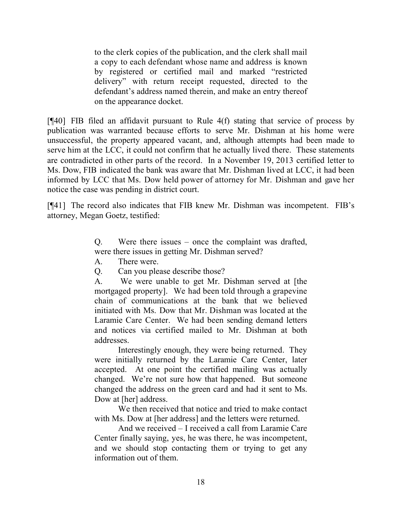to the clerk copies of the publication, and the clerk shall mail a copy to each defendant whose name and address is known by registered or certified mail and marked "restricted delivery" with return receipt requested, directed to the defendant's address named therein, and make an entry thereof on the appearance docket.

[¶40] FIB filed an affidavit pursuant to Rule 4(f) stating that service of process by publication was warranted because efforts to serve Mr. Dishman at his home were unsuccessful, the property appeared vacant, and, although attempts had been made to serve him at the LCC, it could not confirm that he actually lived there. These statements are contradicted in other parts of the record. In a November 19, 2013 certified letter to Ms. Dow, FIB indicated the bank was aware that Mr. Dishman lived at LCC, it had been informed by LCC that Ms. Dow held power of attorney for Mr. Dishman and gave her notice the case was pending in district court.

[¶41] The record also indicates that FIB knew Mr. Dishman was incompetent. FIB's attorney, Megan Goetz, testified:

> Q. Were there issues – once the complaint was drafted, were there issues in getting Mr. Dishman served?

A. There were.

Q. Can you please describe those?

A. We were unable to get Mr. Dishman served at [the mortgaged property]. We had been told through a grapevine chain of communications at the bank that we believed initiated with Ms. Dow that Mr. Dishman was located at the Laramie Care Center. We had been sending demand letters and notices via certified mailed to Mr. Dishman at both addresses.

Interestingly enough, they were being returned. They were initially returned by the Laramie Care Center, later accepted. At one point the certified mailing was actually changed. We're not sure how that happened. But someone changed the address on the green card and had it sent to Ms. Dow at [her] address.

We then received that notice and tried to make contact with Ms. Dow at [her address] and the letters were returned.

And we received – I received a call from Laramie Care Center finally saying, yes, he was there, he was incompetent, and we should stop contacting them or trying to get any information out of them.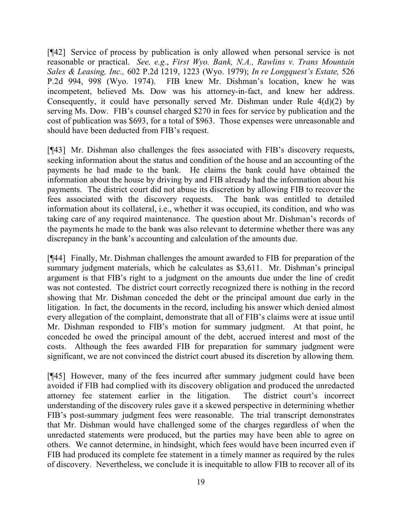[¶42] Service of process by publication is only allowed when personal service is not reasonable or practical. *See, e.g.*, *First Wyo. Bank, N.A., Rawlins v. Trans Mountain Sales & Leasing, Inc.,* 602 P.2d 1219, 1223 (Wyo. 1979); *In re Longquest's Estate,* 526 P.2d 994, 998 (Wyo. 1974). FIB knew Mr. Dishman's location, knew he was incompetent, believed Ms. Dow was his attorney-in-fact, and knew her address. Consequently, it could have personally served Mr. Dishman under Rule 4(d)(2) by serving Ms. Dow. FIB's counsel charged \$270 in fees for service by publication and the cost of publication was \$693, for a total of \$963. Those expenses were unreasonable and should have been deducted from FIB's request.

[¶43] Mr. Dishman also challenges the fees associated with FIB's discovery requests, seeking information about the status and condition of the house and an accounting of the payments he had made to the bank. He claims the bank could have obtained the information about the house by driving by and FIB already had the information about his payments. The district court did not abuse its discretion by allowing FIB to recover the fees associated with the discovery requests. The bank was entitled to detailed information about its collateral, i.e., whether it was occupied, its condition, and who was taking care of any required maintenance. The question about Mr. Dishman's records of the payments he made to the bank was also relevant to determine whether there was any discrepancy in the bank's accounting and calculation of the amounts due.

[¶44] Finally, Mr. Dishman challenges the amount awarded to FIB for preparation of the summary judgment materials, which he calculates as \$3,611. Mr. Dishman's principal argument is that FIB's right to a judgment on the amounts due under the line of credit was not contested. The district court correctly recognized there is nothing in the record showing that Mr. Dishman conceded the debt or the principal amount due early in the litigation. In fact, the documents in the record, including his answer which denied almost every allegation of the complaint, demonstrate that all of FIB's claims were at issue until Mr. Dishman responded to FIB's motion for summary judgment. At that point, he conceded he owed the principal amount of the debt, accrued interest and most of the costs. Although the fees awarded FIB for preparation for summary judgment were significant, we are not convinced the district court abused its discretion by allowing them.

[¶45] However, many of the fees incurred after summary judgment could have been avoided if FIB had complied with its discovery obligation and produced the unredacted attorney fee statement earlier in the litigation. The district court's incorrect understanding of the discovery rules gave it a skewed perspective in determining whether FIB's post-summary judgment fees were reasonable. The trial transcript demonstrates that Mr. Dishman would have challenged some of the charges regardless of when the unredacted statements were produced, but the parties may have been able to agree on others. We cannot determine, in hindsight, which fees would have been incurred even if FIB had produced its complete fee statement in a timely manner as required by the rules of discovery. Nevertheless, we conclude it is inequitable to allow FIB to recover all of its